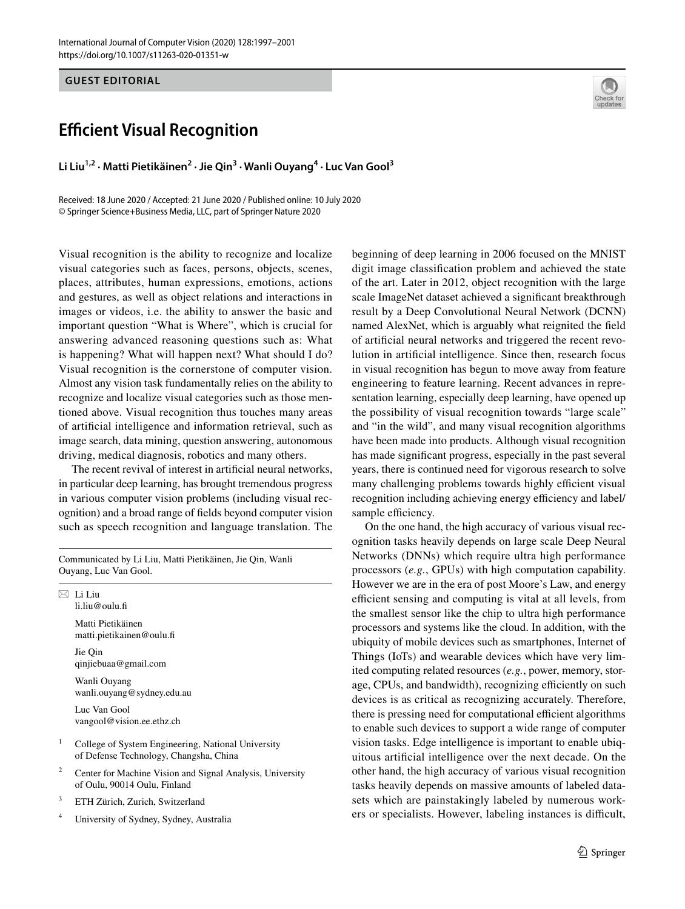**GUEST EDITORIAL**

# **Efficient Visual Recognition**

**Li Liu1,2 · Matti Pietikäinen2 · Jie Qin3 · Wanli Ouyang4 · Luc Van Gool3**

Received: 18 June 2020 / Accepted: 21 June 2020 / Published online: 10 July 2020 © Springer Science+Business Media, LLC, part of Springer Nature 2020

Visual recognition is the ability to recognize and localize visual categories such as faces, persons, objects, scenes, places, attributes, human expressions, emotions, actions and gestures, as well as object relations and interactions in images or videos, i.e. the ability to answer the basic and important question "What is Where", which is crucial for answering advanced reasoning questions such as: What is happening? What will happen next? What should I do? Visual recognition is the cornerstone of computer vision. Almost any vision task fundamentally relies on the ability to recognize and localize visual categories such as those mentioned above. Visual recognition thus touches many areas of artifcial intelligence and information retrieval, such as image search, data mining, question answering, autonomous driving, medical diagnosis, robotics and many others.

The recent revival of interest in artifcial neural networks, in particular deep learning, has brought tremendous progress in various computer vision problems (including visual recognition) and a broad range of felds beyond computer vision such as speech recognition and language translation. The

Communicated by Li Liu, Matti Pietikäinen, Jie Qin, Wanli Ouyang, Luc Van Gool.

 $\boxtimes$  Li Liu li.liu@oulu.f Matti Pietikäinen matti.pietikainen@oulu.f Jie Qin qinjiebuaa@gmail.com Wanli Ouyang wanli.ouyang@sydney.edu.au Luc Van Gool vangool@vision.ee.ethz.ch

<sup>1</sup> College of System Engineering, National University of Defense Technology, Changsha, China

- <sup>2</sup> Center for Machine Vision and Signal Analysis, University of Oulu, 90014 Oulu, Finland
- <sup>3</sup> ETH Zürich, Zurich, Switzerland

<sup>4</sup> University of Sydney, Sydney, Australia



beginning of deep learning in 2006 focused on the MNIST digit image classifcation problem and achieved the state of the art. Later in 2012, object recognition with the large scale ImageNet dataset achieved a signifcant breakthrough result by a Deep Convolutional Neural Network (DCNN) named AlexNet, which is arguably what reignited the feld of artifcial neural networks and triggered the recent revolution in artifcial intelligence. Since then, research focus in visual recognition has begun to move away from feature engineering to feature learning. Recent advances in representation learning, especially deep learning, have opened up the possibility of visual recognition towards "large scale" and "in the wild", and many visual recognition algorithms have been made into products. Although visual recognition has made signifcant progress, especially in the past several years, there is continued need for vigorous research to solve many challenging problems towards highly efficient visual recognition including achieving energy efficiency and label/ sample efficiency.

On the one hand, the high accuracy of various visual recognition tasks heavily depends on large scale Deep Neural Networks (DNNs) which require ultra high performance processors (*e.g.*, GPUs) with high computation capability. However we are in the era of post Moore's Law, and energy efficient sensing and computing is vital at all levels, from the smallest sensor like the chip to ultra high performance processors and systems like the cloud. In addition, with the ubiquity of mobile devices such as smartphones, Internet of Things (IoTs) and wearable devices which have very limited computing related resources (*e.g.*, power, memory, storage, CPUs, and bandwidth), recognizing efficiently on such devices is as critical as recognizing accurately. Therefore, there is pressing need for computational efficient algorithms to enable such devices to support a wide range of computer vision tasks. Edge intelligence is important to enable ubiquitous artifcial intelligence over the next decade. On the other hand, the high accuracy of various visual recognition tasks heavily depends on massive amounts of labeled datasets which are painstakingly labeled by numerous workers or specialists. However, labeling instances is difficult,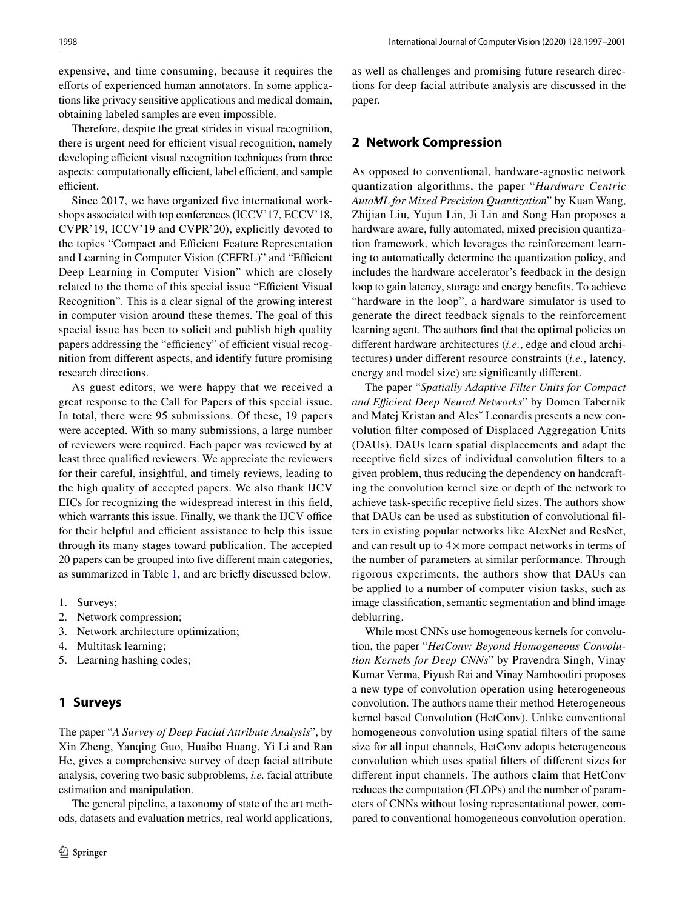expensive, and time consuming, because it requires the efforts of experienced human annotators. In some applications like privacy sensitive applications and medical domain, obtaining labeled samples are even impossible.

Therefore, despite the great strides in visual recognition, there is urgent need for efficient visual recognition, namely developing efficient visual recognition techniques from three aspects: computationally efficient, label efficient, and sample efficient.

Since 2017, we have organized five international workshops associated with top conferences (ICCV'17, ECCV'18, CVPR'19, ICCV'19 and CVPR'20), explicitly devoted to the topics "Compact and Efficient Feature Representation and Learning in Computer Vision (CEFRL)" and "Efficient Deep Learning in Computer Vision" which are closely related to the theme of this special issue "Efficient Visual Recognition". This is a clear signal of the growing interest in computer vision around these themes. The goal of this special issue has been to solicit and publish high quality papers addressing the "efficiency" of efficient visual recognition from diferent aspects, and identify future promising research directions.

As guest editors, we were happy that we received a great response to the Call for Papers of this special issue. In total, there were 95 submissions. Of these, 19 papers were accepted. With so many submissions, a large number of reviewers were required. Each paper was reviewed by at least three qualifed reviewers. We appreciate the reviewers for their careful, insightful, and timely reviews, leading to the high quality of accepted papers. We also thank IJCV EICs for recognizing the widespread interest in this feld, which warrants this issue. Finally, we thank the IJCV office for their helpful and efficient assistance to help this issue through its many stages toward publication. The accepted 20 papers can be grouped into fve diferent main categories, as summarized in Table [1](#page-2-0), and are briefy discussed below.

- 1. Surveys;
- 2. Network compression;
- 3. Network architecture optimization;
- 4. Multitask learning;
- 5. Learning hashing codes;

## **1 Surveys**

The paper "*A Survey of Deep Facial Attribute Analysis*", by Xin Zheng, Yanqing Guo, Huaibo Huang, Yi Li and Ran He, gives a comprehensive survey of deep facial attribute analysis, covering two basic subproblems, *i.e.* facial attribute estimation and manipulation.

The general pipeline, a taxonomy of state of the art methods, datasets and evaluation metrics, real world applications,

as well as challenges and promising future research directions for deep facial attribute analysis are discussed in the paper.

#### **2 Network Compression**

As opposed to conventional, hardware-agnostic network quantization algorithms, the paper "*Hardware Centric AutoML for Mixed Precision Quantization*" by Kuan Wang, Zhijian Liu, Yujun Lin, Ji Lin and Song Han proposes a hardware aware, fully automated, mixed precision quantization framework, which leverages the reinforcement learning to automatically determine the quantization policy, and includes the hardware accelerator's feedback in the design loop to gain latency, storage and energy benefts. To achieve "hardware in the loop", a hardware simulator is used to generate the direct feedback signals to the reinforcement learning agent. The authors fnd that the optimal policies on diferent hardware architectures (*i.e.*, edge and cloud architectures) under diferent resource constraints (*i.e.*, latency, energy and model size) are signifcantly diferent.

The paper "*Spatially Adaptive Filter Units for Compact and Efcient Deep Neural Networks*" by Domen Tabernik and Matej Kristan and Alesˇ Leonardis presents a new convolution flter composed of Displaced Aggregation Units (DAUs). DAUs learn spatial displacements and adapt the receptive feld sizes of individual convolution flters to a given problem, thus reducing the dependency on handcrafting the convolution kernel size or depth of the network to achieve task-specifc receptive feld sizes. The authors show that DAUs can be used as substitution of convolutional flters in existing popular networks like AlexNet and ResNet, and can result up to  $4 \times$  more compact networks in terms of the number of parameters at similar performance. Through rigorous experiments, the authors show that DAUs can be applied to a number of computer vision tasks, such as image classifcation, semantic segmentation and blind image deblurring.

While most CNNs use homogeneous kernels for convolution, the paper "*HetConv: Beyond Homogeneous Convolution Kernels for Deep CNNs*" by Pravendra Singh, Vinay Kumar Verma, Piyush Rai and Vinay Namboodiri proposes a new type of convolution operation using heterogeneous convolution. The authors name their method Heterogeneous kernel based Convolution (HetConv). Unlike conventional homogeneous convolution using spatial flters of the same size for all input channels, HetConv adopts heterogeneous convolution which uses spatial flters of diferent sizes for diferent input channels. The authors claim that HetConv reduces the computation (FLOPs) and the number of parameters of CNNs without losing representational power, compared to conventional homogeneous convolution operation.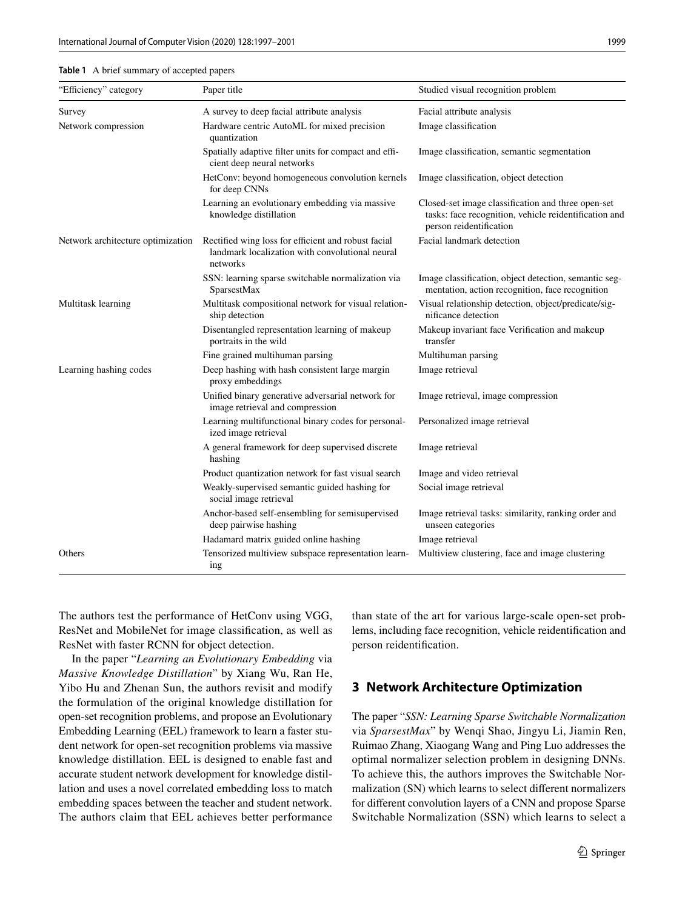#### <span id="page-2-0"></span>**Table 1** A brief summary of accepted papers

| "Efficiency" category             | Paper title                                                                                                        | Studied visual recognition problem                                                                                                     |
|-----------------------------------|--------------------------------------------------------------------------------------------------------------------|----------------------------------------------------------------------------------------------------------------------------------------|
| Survey                            | A survey to deep facial attribute analysis                                                                         | Facial attribute analysis                                                                                                              |
| Network compression               | Hardware centric AutoML for mixed precision<br>quantization                                                        | Image classification                                                                                                                   |
|                                   | Spatially adaptive filter units for compact and effi-<br>cient deep neural networks                                | Image classification, semantic segmentation                                                                                            |
|                                   | HetConv: beyond homogeneous convolution kernels<br>for deep CNNs                                                   | Image classification, object detection                                                                                                 |
|                                   | Learning an evolutionary embedding via massive<br>knowledge distillation                                           | Closed-set image classification and three open-set<br>tasks: face recognition, vehicle reidentification and<br>person reidentification |
| Network architecture optimization | Rectified wing loss for efficient and robust facial<br>landmark localization with convolutional neural<br>networks | Facial landmark detection                                                                                                              |
|                                   | SSN: learning sparse switchable normalization via<br>SparsestMax                                                   | Image classification, object detection, semantic seg-<br>mentation, action recognition, face recognition                               |
| Multitask learning                | Multitask compositional network for visual relation-<br>ship detection                                             | Visual relationship detection, object/predicate/sig-<br>nificance detection                                                            |
|                                   | Disentangled representation learning of makeup<br>portraits in the wild                                            | Makeup invariant face Verification and makeup<br>transfer                                                                              |
|                                   | Fine grained multihuman parsing                                                                                    | Multihuman parsing                                                                                                                     |
| Learning hashing codes            | Deep hashing with hash consistent large margin<br>proxy embeddings                                                 | Image retrieval                                                                                                                        |
|                                   | Unified binary generative adversarial network for<br>image retrieval and compression                               | Image retrieval, image compression                                                                                                     |
|                                   | Learning multifunctional binary codes for personal-<br>ized image retrieval                                        | Personalized image retrieval                                                                                                           |
|                                   | A general framework for deep supervised discrete<br>hashing                                                        | Image retrieval                                                                                                                        |
|                                   | Product quantization network for fast visual search                                                                | Image and video retrieval                                                                                                              |
|                                   | Weakly-supervised semantic guided hashing for<br>social image retrieval                                            | Social image retrieval                                                                                                                 |
|                                   | Anchor-based self-ensembling for semisupervised<br>deep pairwise hashing                                           | Image retrieval tasks: similarity, ranking order and<br>unseen categories                                                              |
|                                   | Hadamard matrix guided online hashing                                                                              | Image retrieval                                                                                                                        |
| Others                            | Tensorized multiview subspace representation learn-<br>ing                                                         | Multiview clustering, face and image clustering                                                                                        |

The authors test the performance of HetConv using VGG, ResNet and MobileNet for image classifcation, as well as ResNet with faster RCNN for object detection.

In the paper "*Learning an Evolutionary Embedding* via *Massive Knowledge Distillation*" by Xiang Wu, Ran He, Yibo Hu and Zhenan Sun, the authors revisit and modify the formulation of the original knowledge distillation for open-set recognition problems, and propose an Evolutionary Embedding Learning (EEL) framework to learn a faster student network for open-set recognition problems via massive knowledge distillation. EEL is designed to enable fast and accurate student network development for knowledge distillation and uses a novel correlated embedding loss to match embedding spaces between the teacher and student network. The authors claim that EEL achieves better performance than state of the art for various large-scale open-set problems, including face recognition, vehicle reidentifcation and person reidentifcation.

### **3 Network Architecture Optimization**

The paper "*SSN: Learning Sparse Switchable Normalization* via *SparsestMax*" by Wenqi Shao, Jingyu Li, Jiamin Ren, Ruimao Zhang, Xiaogang Wang and Ping Luo addresses the optimal normalizer selection problem in designing DNNs. To achieve this, the authors improves the Switchable Normalization (SN) which learns to select diferent normalizers for diferent convolution layers of a CNN and propose Sparse Switchable Normalization (SSN) which learns to select a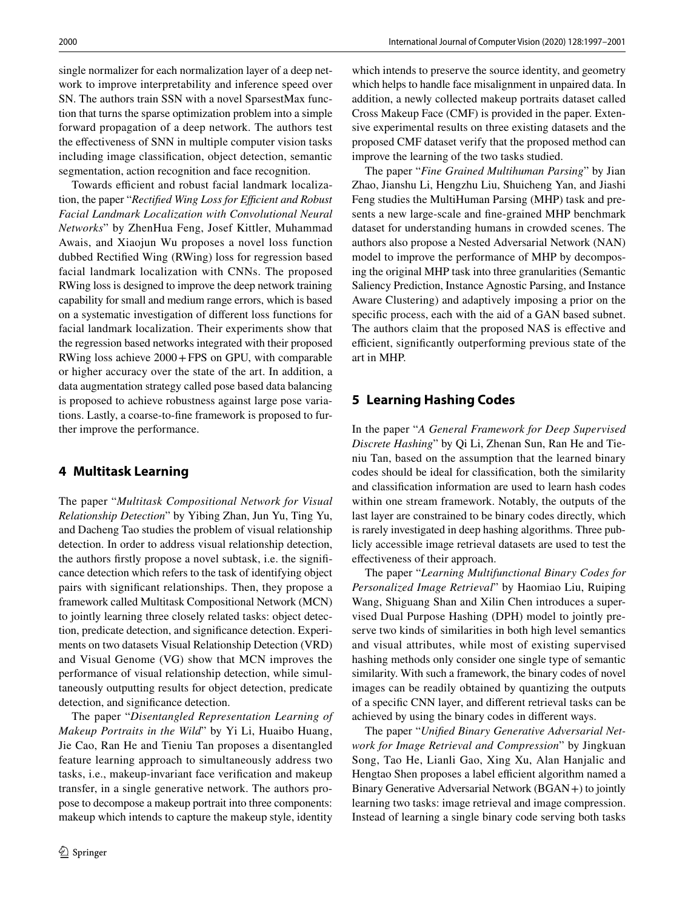single normalizer for each normalization layer of a deep network to improve interpretability and inference speed over SN. The authors train SSN with a novel SparsestMax function that turns the sparse optimization problem into a simple forward propagation of a deep network. The authors test the efectiveness of SNN in multiple computer vision tasks including image classifcation, object detection, semantic segmentation, action recognition and face recognition.

Towards efficient and robust facial landmark localization, the paper "*Rectified Wing Loss for Efficient and Robust Facial Landmark Localization with Convolutional Neural Networks*" by ZhenHua Feng, Josef Kittler, Muhammad Awais, and Xiaojun Wu proposes a novel loss function dubbed Rectifed Wing (RWing) loss for regression based facial landmark localization with CNNs. The proposed RWing loss is designed to improve the deep network training capability for small and medium range errors, which is based on a systematic investigation of diferent loss functions for facial landmark localization. Their experiments show that the regression based networks integrated with their proposed RWing loss achieve 2000+FPS on GPU, with comparable or higher accuracy over the state of the art. In addition, a data augmentation strategy called pose based data balancing is proposed to achieve robustness against large pose variations. Lastly, a coarse-to-fne framework is proposed to further improve the performance.

### **4 Multitask Learning**

The paper "*Multitask Compositional Network for Visual Relationship Detection*" by Yibing Zhan, Jun Yu, Ting Yu, and Dacheng Tao studies the problem of visual relationship detection. In order to address visual relationship detection, the authors frstly propose a novel subtask, i.e. the signifcance detection which refers to the task of identifying object pairs with signifcant relationships. Then, they propose a framework called Multitask Compositional Network (MCN) to jointly learning three closely related tasks: object detection, predicate detection, and signifcance detection. Experiments on two datasets Visual Relationship Detection (VRD) and Visual Genome (VG) show that MCN improves the performance of visual relationship detection, while simultaneously outputting results for object detection, predicate detection, and signifcance detection.

The paper "*Disentangled Representation Learning of Makeup Portraits in the Wild*" by Yi Li, Huaibo Huang, Jie Cao, Ran He and Tieniu Tan proposes a disentangled feature learning approach to simultaneously address two tasks, i.e., makeup-invariant face verifcation and makeup transfer, in a single generative network. The authors propose to decompose a makeup portrait into three components: makeup which intends to capture the makeup style, identity

which intends to preserve the source identity, and geometry which helps to handle face misalignment in unpaired data. In addition, a newly collected makeup portraits dataset called Cross Makeup Face (CMF) is provided in the paper. Extensive experimental results on three existing datasets and the proposed CMF dataset verify that the proposed method can improve the learning of the two tasks studied.

The paper "*Fine Grained Multihuman Parsing*" by Jian Zhao, Jianshu Li, Hengzhu Liu, Shuicheng Yan, and Jiashi Feng studies the MultiHuman Parsing (MHP) task and presents a new large-scale and fne-grained MHP benchmark dataset for understanding humans in crowded scenes. The authors also propose a Nested Adversarial Network (NAN) model to improve the performance of MHP by decomposing the original MHP task into three granularities (Semantic Saliency Prediction, Instance Agnostic Parsing, and Instance Aware Clustering) and adaptively imposing a prior on the specifc process, each with the aid of a GAN based subnet. The authors claim that the proposed NAS is efective and efficient, significantly outperforming previous state of the art in MHP.

#### **5 Learning Hashing Codes**

In the paper "*A General Framework for Deep Supervised Discrete Hashing*" by Qi Li, Zhenan Sun, Ran He and Tieniu Tan, based on the assumption that the learned binary codes should be ideal for classifcation, both the similarity and classifcation information are used to learn hash codes within one stream framework. Notably, the outputs of the last layer are constrained to be binary codes directly, which is rarely investigated in deep hashing algorithms. Three publicly accessible image retrieval datasets are used to test the efectiveness of their approach.

The paper "*Learning Multifunctional Binary Codes for Personalized Image Retrieval*" by Haomiao Liu, Ruiping Wang, Shiguang Shan and Xilin Chen introduces a supervised Dual Purpose Hashing (DPH) model to jointly preserve two kinds of similarities in both high level semantics and visual attributes, while most of existing supervised hashing methods only consider one single type of semantic similarity. With such a framework, the binary codes of novel images can be readily obtained by quantizing the outputs of a specifc CNN layer, and diferent retrieval tasks can be achieved by using the binary codes in diferent ways.

The paper "*Unifed Binary Generative Adversarial Network for Image Retrieval and Compression*" by Jingkuan Song, Tao He, Lianli Gao, Xing Xu, Alan Hanjalic and Hengtao Shen proposes a label efficient algorithm named a Binary Generative Adversarial Network (BGAN+) to jointly learning two tasks: image retrieval and image compression. Instead of learning a single binary code serving both tasks